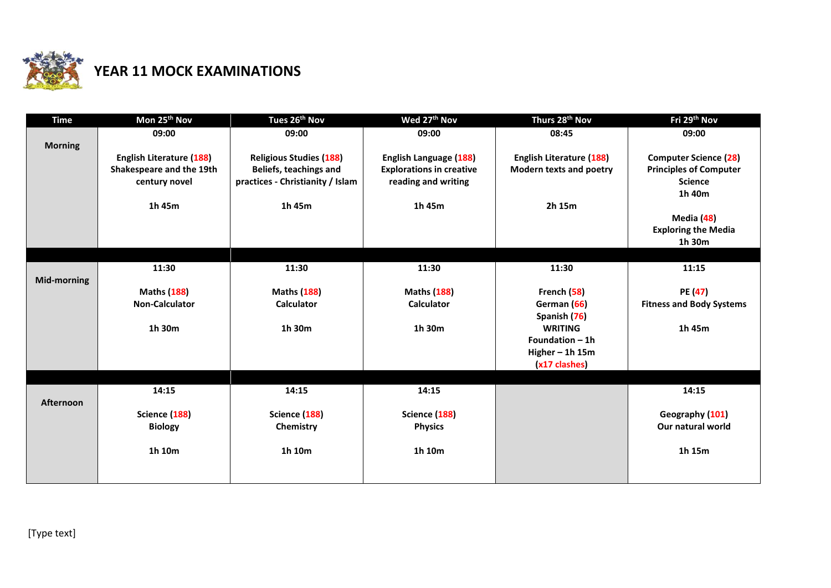

## **YEAR 11 MOCK EXAMINATIONS**

| <b>Time</b>      | Mon 25 <sup>th</sup> Nov        | Tues 26 <sup>th</sup> Nov        | Wed 27 <sup>th</sup> Nov        | Thurs 28 <sup>th</sup> Nov         | Fri 29th Nov                    |
|------------------|---------------------------------|----------------------------------|---------------------------------|------------------------------------|---------------------------------|
|                  | 09:00                           | 09:00                            | 09:00                           | 08:45                              | 09:00                           |
| <b>Morning</b>   |                                 |                                  |                                 |                                    |                                 |
|                  | <b>English Literature (188)</b> | <b>Religious Studies (188)</b>   | <b>English Language (188)</b>   | <b>English Literature (188)</b>    | <b>Computer Science (28)</b>    |
|                  | Shakespeare and the 19th        | Beliefs, teachings and           | <b>Explorations in creative</b> | <b>Modern texts and poetry</b>     | <b>Principles of Computer</b>   |
|                  | century novel                   | practices - Christianity / Islam | reading and writing             |                                    | <b>Science</b>                  |
|                  |                                 |                                  |                                 |                                    | 1h 40m                          |
|                  | 1h 45m                          | 1h 45m                           | 1h 45m                          | 2h 15m                             |                                 |
|                  |                                 |                                  |                                 |                                    | Media (48)                      |
|                  |                                 |                                  |                                 |                                    | <b>Exploring the Media</b>      |
|                  |                                 |                                  |                                 |                                    | 1h 30m                          |
|                  |                                 |                                  |                                 |                                    |                                 |
|                  | 11:30                           | 11:30                            | 11:30                           | 11:30                              | 11:15                           |
| Mid-morning      |                                 |                                  |                                 |                                    |                                 |
|                  | <b>Maths (188)</b>              | <b>Maths (188)</b>               | <b>Maths (188)</b>              | French (58)                        | PE (47)                         |
|                  | <b>Non-Calculator</b>           | <b>Calculator</b>                | <b>Calculator</b>               | German (66)                        | <b>Fitness and Body Systems</b> |
|                  | 1h 30m                          | 1h 30m                           | 1h 30m                          | Spanish (76)<br><b>WRITING</b>     | 1h 45m                          |
|                  |                                 |                                  |                                 | Foundation $-1h$                   |                                 |
|                  |                                 |                                  |                                 |                                    |                                 |
|                  |                                 |                                  |                                 | Higher $-$ 1h 15m<br>(x17 clashes) |                                 |
|                  |                                 |                                  |                                 |                                    |                                 |
|                  | 14:15                           | 14:15                            | 14:15                           |                                    | 14:15                           |
| <b>Afternoon</b> |                                 |                                  |                                 |                                    |                                 |
|                  | Science (188)                   | Science (188)                    | Science (188)                   |                                    | Geography (101)                 |
|                  | <b>Biology</b>                  | Chemistry                        | <b>Physics</b>                  |                                    | Our natural world               |
|                  |                                 |                                  |                                 |                                    |                                 |
|                  | 1h 10m                          | 1h 10m                           | 1h 10m                          |                                    | 1h 15m                          |
|                  |                                 |                                  |                                 |                                    |                                 |
|                  |                                 |                                  |                                 |                                    |                                 |
|                  |                                 |                                  |                                 |                                    |                                 |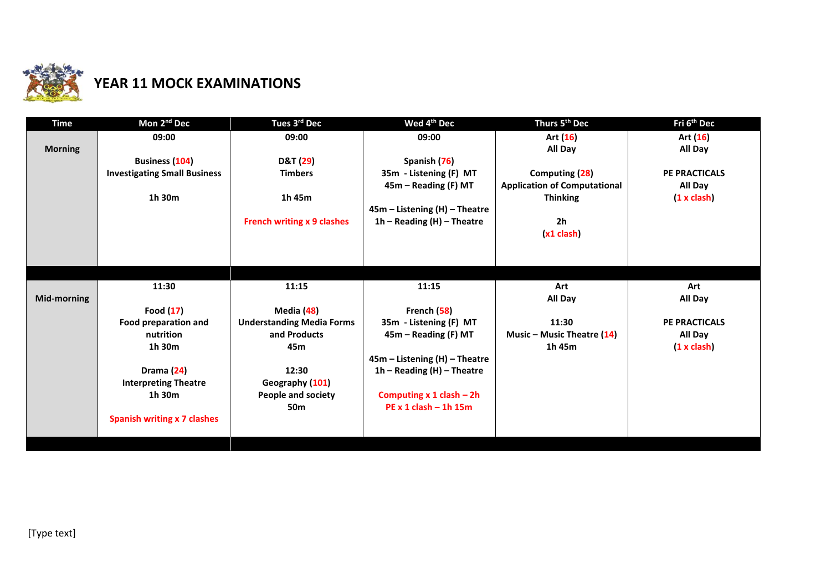

## **YEAR 11 MOCK EXAMINATIONS**

| <b>Time</b>    | Mon 2 <sup>nd</sup> Dec             | Tues 3rd Dec                      | Wed 4 <sup>th</sup> Dec                                         | Thurs 5 <sup>th</sup> Dec           | Fri 6 <sup>th</sup> Dec |
|----------------|-------------------------------------|-----------------------------------|-----------------------------------------------------------------|-------------------------------------|-------------------------|
|                | 09:00                               | 09:00                             | 09:00                                                           | Art (16)                            | Art (16)                |
| <b>Morning</b> |                                     |                                   |                                                                 | All Day                             | All Day                 |
|                | <b>Business (104)</b>               | <b>D&amp;T</b> (29)               | Spanish (76)                                                    |                                     |                         |
|                | <b>Investigating Small Business</b> | <b>Timbers</b>                    | 35m - Listening (F) MT                                          | Computing (28)                      | <b>PE PRACTICALS</b>    |
|                |                                     |                                   | 45m – Reading (F) MT                                            | <b>Application of Computational</b> | All Day                 |
|                | 1h 30m                              | 1h 45m                            |                                                                 | <b>Thinking</b>                     | (1 x clash)             |
|                |                                     |                                   | 45m - Listening (H) - Theatre                                   |                                     |                         |
|                |                                     | <b>French writing x 9 clashes</b> | $1h$ – Reading (H) – Theatre                                    | 2 <sub>h</sub>                      |                         |
|                |                                     |                                   |                                                                 | $(x1$ clash                         |                         |
|                |                                     |                                   |                                                                 |                                     |                         |
|                |                                     |                                   |                                                                 |                                     |                         |
|                |                                     |                                   |                                                                 |                                     |                         |
|                | 11:30                               | 11:15                             | 11:15                                                           | Art                                 | Art                     |
| Mid-morning    |                                     |                                   |                                                                 | All Day                             | All Day                 |
|                | Food $(17)$                         | Media (48)                        | French (58)                                                     |                                     |                         |
|                | Food preparation and                | <b>Understanding Media Forms</b>  | 35m - Listening (F) MT                                          | 11:30                               | <b>PE PRACTICALS</b>    |
|                | nutrition                           | and Products                      | 45m – Reading (F) MT                                            | Music – Music Theatre $(14)$        | All Day                 |
|                | 1h 30m                              | 45m                               |                                                                 | 1h 45m                              | (1 x clash)             |
|                | Drama (24)                          | 12:30                             | $45m -$ Listening (H) - Theatre<br>$1h$ – Reading (H) – Theatre |                                     |                         |
|                | <b>Interpreting Theatre</b>         | Geography (101)                   |                                                                 |                                     |                         |
|                | $1h$ 30 $m$                         | People and society                | Computing $x 1$ clash – 2h                                      |                                     |                         |
|                |                                     | 50 <sub>m</sub>                   | $PE x 1 clash - 1 h 15 m$                                       |                                     |                         |
|                | <b>Spanish writing x 7 clashes</b>  |                                   |                                                                 |                                     |                         |
|                |                                     |                                   |                                                                 |                                     |                         |
|                |                                     |                                   |                                                                 |                                     |                         |